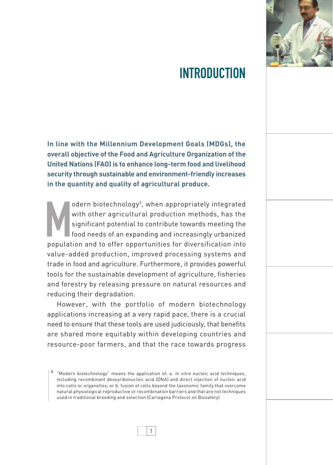

# introduction

**In line with the Millennium Development Goals (MDGs), the overall objective of the Food and Agriculture Organization of the United Nations (FAO) is to enhance long-term food and livelihood security through sustainable and environment-friendly increases in the quantity and quality of agricultural produce.** 

odern biotechnology<sup>3</sup>, when appropriately integrated<br>with other agricultural production methods, has the<br>significant potential to contribute towards meeting the<br>food needs of an expanding and increasingly urbanized<br>popula odern biotechnology3 , when appropriately integrated with other agricultural production methods, has the significant potential to contribute towards meeting the food needs of an expanding and increasingly urbanized value-added production, improved processing systems and trade in food and agriculture. Furthermore, it provides powerful tools for the sustainable development of agriculture, fisheries and forestry by releasing pressure on natural resources and reducing their degradation.

However, with the portfolio of modern biotechnology applications increasing at a very rapid pace, there is a crucial need to ensure that these tools are used judiciously, that benefits are shared more equitably within developing countries and resource-poor farmers, and that the race towards progress

**<sup>3</sup>** "Modern biotechnology" means the application of: a. In vitro nucleic acid techniques, including recombinant deoxyribonucleic acid (DNA) and direct injection of nucleic acid into cells or organelles; or b. fusion of cells beyond the taxonomic family that overcome natural physiological reproductive or recombination barriers and that are not techniques used in traditional breeding and selection (Cartagena Protocol on Biosafety)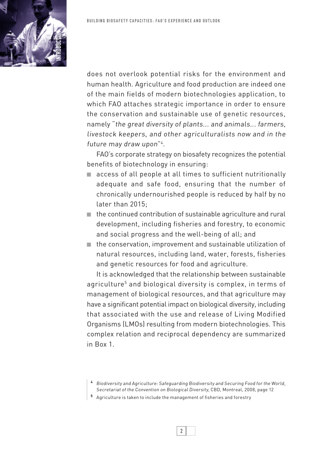

does not overlook potential risks for the environment and human health. Agriculture and food production are indeed one of the main fields of modern biotechnologies application, to which FAO attaches strategic importance in order to ensure the conservation and sustainable use of genetic resources, namely "the great diversity of plants... and animals... farmers, livestock keepers, and other agriculturalists now and in the future may draw upon"4 .

FAO's corporate strategy on biosafety recognizes the potential benefits of biotechnology in ensuring:

- access of all people at all times to sufficient nutritionally adequate and safe food, ensuring that the number of chronically undernourished people is reduced by half by no later than 2015;
- the continued contribution of sustainable agriculture and rural development, including fisheries and forestry, to economic and social progress and the well-being of all; and
- the conservation, improvement and sustainable utilization of natural resources, including land, water, forests, fisheries and genetic resources for food and agriculture.

It is acknowledged that the relationship between sustainable agriculture<sup>5</sup> and biological diversity is complex, in terms of management of biological resources, and that agriculture may have a significant potential impact on biological diversity, including that associated with the use and release of Living Modified Organisms (LMOs) resulting from modern biotechnologies. This complex relation and reciprocal dependency are summarized in Box 1.

- **<sup>4</sup>** Biodiversity and Agriculture: Safeguarding Biodiversity and Securing Food for the World, Secretariat of the Convention on Biological Diversity, CBD, Montreal, 2008, page 12
- **5** Agriculture is taken to include the management of fisheries and forestry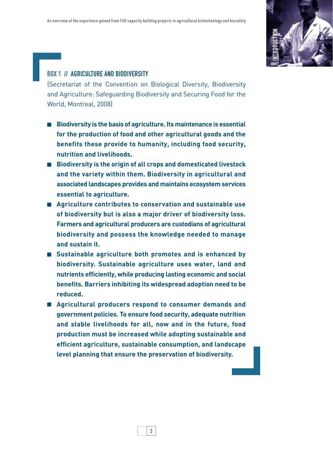

## Box 1 // AGRICULTURE AND BIODIVERSITY

(Secretariat of the Convention on Biological Diversity, Biodiversity and Agriculture: Safeguarding Biodiversity and Securing Food for the World, Montreal, 2008)

- Biodiversity is the basis of agriculture. Its maintenance is essential **for the production of food and other agricultural goods and the benefits these provide to humanity, including food security, nutrition and livelihoods.**
- **Biodiversity is the origin of all crops and domesticated livestock and the variety within them. Biodiversity in agricultural and associated landscapes provides and maintains ecosystem services essential to agriculture.**
- **Agriculture contributes to conservation and sustainable use of biodiversity but is also a major driver of biodiversity loss. Farmers and agricultural producers are custodians of agricultural biodiversity and possess the knowledge needed to manage and sustain it.**
- **Sustainable agriculture both promotes and is enhanced by biodiversity. Sustainable agriculture uses water, land and nutrients efficiently, while producing lasting economic and social benefits. Barriers inhibiting its widespread adoption need to be reduced.**
- **Agricultural producers respond to consumer demands and government policies. To ensure food security, adequate nutrition and stable livelihoods for all, now and in the future, food production must be increased while adopting sustainable and efficient agriculture, sustainable consumption, and landscape level planning that ensure the preservation of biodiversity.**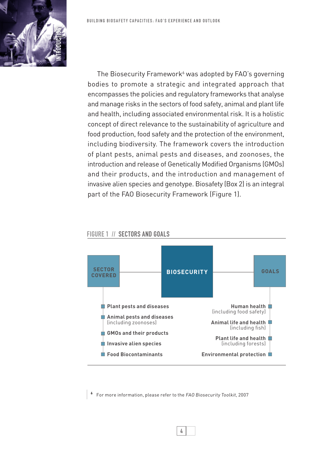The Biosecurity Framework $\delta$  was adopted by FAO's governing bodies to promote a strategic and integrated approach that encompasses the policies and regulatory frameworks that analyse and manage risks in the sectors of food safety, animal and plant life and health, including associated environmental risk. It is a holistic concept of direct relevance to the sustainability of agriculture and food production, food safety and the protection of the environment, including biodiversity. The framework covers the introduction of plant pests, animal pests and diseases, and zoonoses, the introduction and release of Genetically Modified Organisms (GMOs) and their products, and the introduction and management of invasive alien species and genotype. Biosafety (Box 2) is an integral part of the FAO Biosecurity Framework (Figure 1).

#### FIGURE 1 // SECTORS AND GOALS



**6** For more information, please refer to the FAO Biosecurity Toolkit, 2007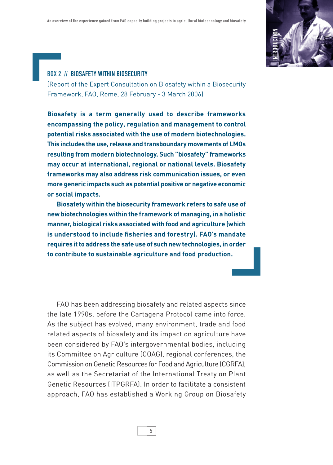

### Box 2 // BIOSAFETY WITHIN BIOSECURITY

(Report of the Expert Consultation on Biosafety within a Biosecurity Framework, FAO, Rome, 28 February - 3 March 2006)

**Biosafety is a term generally used to describe frameworks encompassing the policy, regulation and management to control potential risks associated with the use of modern biotechnologies. This includes the use, release and transboundary movements of LMOs resulting from modern biotechnology. Such "biosafety" frameworks may occur at international, regional or national levels. Biosafety frameworks may also address risk communication issues, or even more generic impacts such as potential positive or negative economic or social impacts.**

**Biosafety within the biosecurity framework refers to safe use of new biotechnologies within the framework of managing, in a holistic manner, biological risks associated with food and agriculture (which is understood to include fisheries and forestry). FAO's mandate requires it to address the safe use of such new technologies, in order to contribute to sustainable agriculture and food production.**

FAO has been addressing biosafety and related aspects since the late 1990s, before the Cartagena Protocol came into force. As the subject has evolved, many environment, trade and food related aspects of biosafety and its impact on agriculture have been considered by FAO's intergovernmental bodies, including its Committee on Agriculture (COAG), regional conferences, the Commission on Genetic Resources for Food and Agriculture (CGRFA), as well as the Secretariat of the International Treaty on Plant Genetic Resources (ITPGRFA). In order to facilitate a consistent approach, FAO has established a Working Group on Biosafety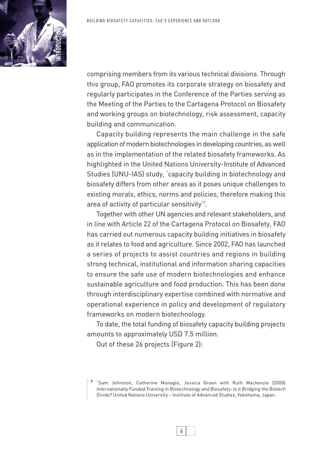

comprising members from its various technical divisions. Through this group, FAO promotes its corporate strategy on biosafety and regularly participates in the Conference of the Parties serving as the Meeting of the Parties to the Cartagena Protocol on Biosafety and working groups on biotechnology, risk assessment, capacity building and communication.

Capacity building represents the main challenge in the safe application of modern biotechnologies in developing countries, as well as in the implementation of the related biosafety frameworks. As highlighted in the United Nations University-Institute of Advanced Studies (UNU-IAS) study, 'capacity building in biotechnology and biosafety differs from other areas as it poses unique challenges to existing morals, ethics, norms and policies, therefore making this area of activity of particular sensitivity'7 .

Together with other UN agencies and relevant stakeholders, and in line with Article 22 of the Cartagena Protocol on Biosafety, FAO has carried out numerous capacity building initiatives in biosafety as it relates to food and agriculture. Since 2002, FAO has launched a series of projects to assist countries and regions in building strong technical, institutional and information sharing capacities to ensure the safe use of modern biotechnologies and enhance sustainable agriculture and food production. This has been done through interdisciplinary expertise combined with normative and operational experience in policy and development of regulatory frameworks on modern biotechnology.

To date, the total funding of biosafety capacity building projects amounts to approximately USD 7.5 million.

Out of these 26 projects (Figure 2):



**<sup>7</sup>** "Sam Johnston, Catherine Monagle, Jessica Green with Ruth Mackenzie (2008) Internationally Funded Training in Biotechnology and Biosafety: Is it Bridging the Biotech Divide? United Nations University – Institute of Advanced Studies, Yokohama, Japan.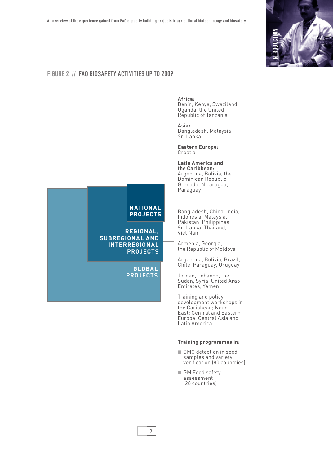

## Figure 2 // FAO biosafety activities up to 2009

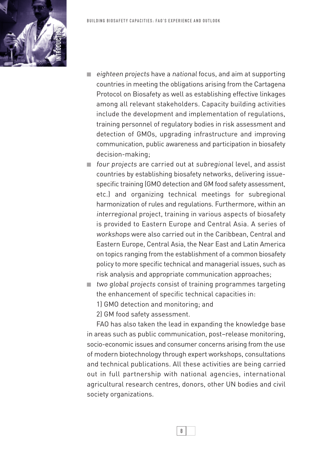- eighteen projects have a national focus, and aim at supporting countries in meeting the obligations arising from the Cartagena Protocol on Biosafety as well as establishing effective linkages among all relevant stakeholders. Capacity building activities include the development and implementation of regulations, training personnel of regulatory bodies in risk assessment and detection of GMOs, upgrading infrastructure and improving communication, public awareness and participation in biosafety decision-making;
- four projects are carried out at subregional level, and assist countries by establishing biosafety networks, delivering issuespecific training (GMO detection and GM food safety assessment, etc.) and organizing technical meetings for subregional harmonization of rules and regulations. Furthermore, within an interregional project, training in various aspects of biosafety is provided to Eastern Europe and Central Asia. A series of workshops were also carried out in the Caribbean, Central and Eastern Europe, Central Asia, the Near East and Latin America on topics ranging from the establishment of a common biosafety policy to more specific technical and managerial issues, such as risk analysis and appropriate communication approaches;
- two global projects consist of training programmes targeting the enhancement of specific technical capacities in:
	- 1) GMO detection and monitoring; and
	- 2) GM food safety assessment.

FAO has also taken the lead in expanding the knowledge base in areas such as public communication, post–release monitoring, socio-economic issues and consumer concerns arising from the use of modern biotechnology through expert workshops, consultations and technical publications. All these activities are being carried out in full partnership with national agencies, international agricultural research centres, donors, other UN bodies and civil society organizations.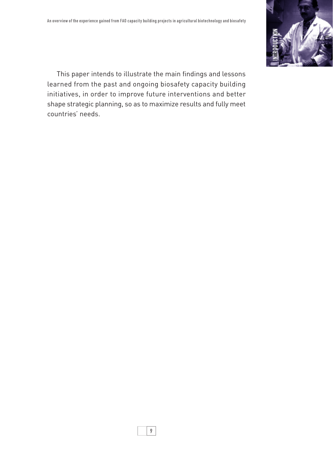

This paper intends to illustrate the main findings and lessons learned from the past and ongoing biosafety capacity building initiatives, in order to improve future interventions and better shape strategic planning, so as to maximize results and fully meet countries' needs.